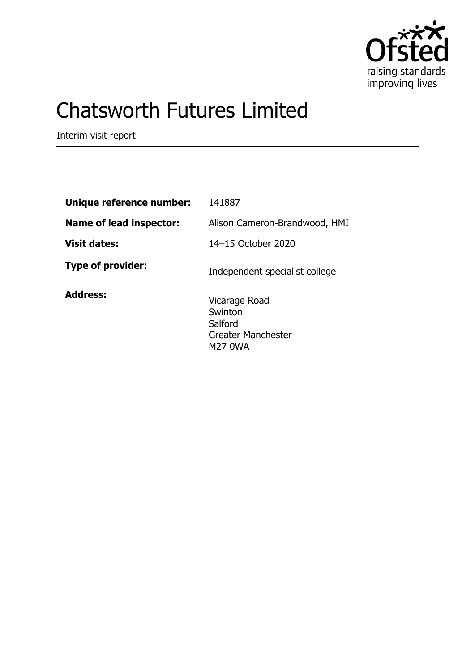

# Chatsworth Futures Limited

Interim visit report

| Unique reference number:       | 141887                                                                      |
|--------------------------------|-----------------------------------------------------------------------------|
| <b>Name of lead inspector:</b> | Alison Cameron-Brandwood, HMI                                               |
| <b>Visit dates:</b>            | 14-15 October 2020                                                          |
| <b>Type of provider:</b>       | Independent specialist college                                              |
| <b>Address:</b>                | Vicarage Road<br>Swinton<br>Salford<br><b>Greater Manchester</b><br>M27 0WA |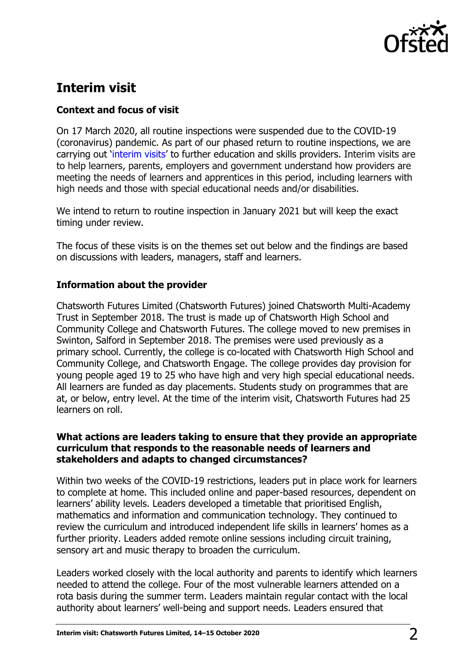

# **Interim visit**

## **Context and focus of visit**

On 17 March 2020, all routine inspections were suspended due to the COVID-19 (coronavirus) pandemic. As part of our phased return to routine inspections, we are carrying out '[interim visits](https://www.gov.uk/guidance/interim-phase-further-education-and-skills-providers#interim-visits)' to further education and skills providers. Interim visits are to help learners, parents, employers and government understand how providers are meeting the needs of learners and apprentices in this period, including learners with high needs and those with special educational needs and/or disabilities.

We intend to return to routine inspection in January 2021 but will keep the exact timing under review.

The focus of these visits is on the themes set out below and the findings are based on discussions with leaders, managers, staff and learners.

### **Information about the provider**

Chatsworth Futures Limited (Chatsworth Futures) joined Chatsworth Multi-Academy Trust in September 2018. The trust is made up of Chatsworth High School and Community College and Chatsworth Futures. The college moved to new premises in Swinton, Salford in September 2018. The premises were used previously as a primary school. Currently, the college is co-located with Chatsworth High School and Community College, and Chatsworth Engage. The college provides day provision for young people aged 19 to 25 who have high and very high special educational needs. All learners are funded as day placements. Students study on programmes that are at, or below, entry level. At the time of the interim visit, Chatsworth Futures had 25 learners on roll.

#### **What actions are leaders taking to ensure that they provide an appropriate curriculum that responds to the reasonable needs of learners and stakeholders and adapts to changed circumstances?**

Within two weeks of the COVID-19 restrictions, leaders put in place work for learners to complete at home. This included online and paper-based resources, dependent on learners' ability levels. Leaders developed a timetable that prioritised English, mathematics and information and communication technology. They continued to review the curriculum and introduced independent life skills in learners' homes as a further priority. Leaders added remote online sessions including circuit training, sensory art and music therapy to broaden the curriculum.

Leaders worked closely with the local authority and parents to identify which learners needed to attend the college. Four of the most vulnerable learners attended on a rota basis during the summer term. Leaders maintain regular contact with the local authority about learners' well-being and support needs. Leaders ensured that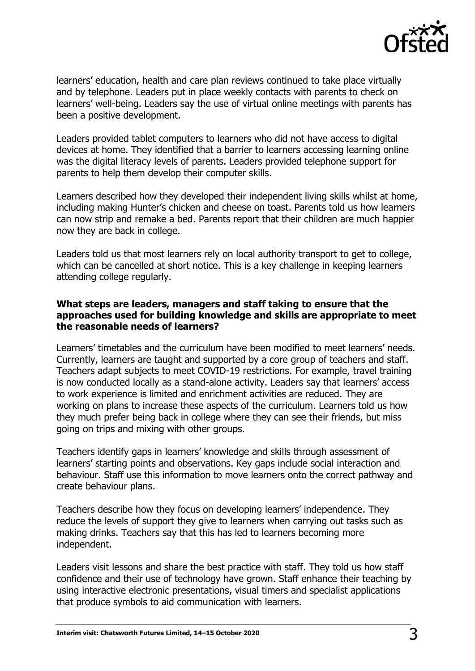

learners' education, health and care plan reviews continued to take place virtually and by telephone. Leaders put in place weekly contacts with parents to check on learners' well-being. Leaders say the use of virtual online meetings with parents has been a positive development.

Leaders provided tablet computers to learners who did not have access to digital devices at home. They identified that a barrier to learners accessing learning online was the digital literacy levels of parents. Leaders provided telephone support for parents to help them develop their computer skills.

Learners described how they developed their independent living skills whilst at home, including making Hunter's chicken and cheese on toast. Parents told us how learners can now strip and remake a bed. Parents report that their children are much happier now they are back in college.

Leaders told us that most learners rely on local authority transport to get to college, which can be cancelled at short notice. This is a key challenge in keeping learners attending college regularly.

#### **What steps are leaders, managers and staff taking to ensure that the approaches used for building knowledge and skills are appropriate to meet the reasonable needs of learners?**

Learners' timetables and the curriculum have been modified to meet learners' needs. Currently, learners are taught and supported by a core group of teachers and staff. Teachers adapt subjects to meet COVID-19 restrictions. For example, travel training is now conducted locally as a stand-alone activity. Leaders say that learners' access to work experience is limited and enrichment activities are reduced. They are working on plans to increase these aspects of the curriculum. Learners told us how they much prefer being back in college where they can see their friends, but miss going on trips and mixing with other groups.

Teachers identify gaps in learners' knowledge and skills through assessment of learners' starting points and observations. Key gaps include social interaction and behaviour. Staff use this information to move learners onto the correct pathway and create behaviour plans.

Teachers describe how they focus on developing learners' independence. They reduce the levels of support they give to learners when carrying out tasks such as making drinks. Teachers say that this has led to learners becoming more independent.

Leaders visit lessons and share the best practice with staff. They told us how staff confidence and their use of technology have grown. Staff enhance their teaching by using interactive electronic presentations, visual timers and specialist applications that produce symbols to aid communication with learners.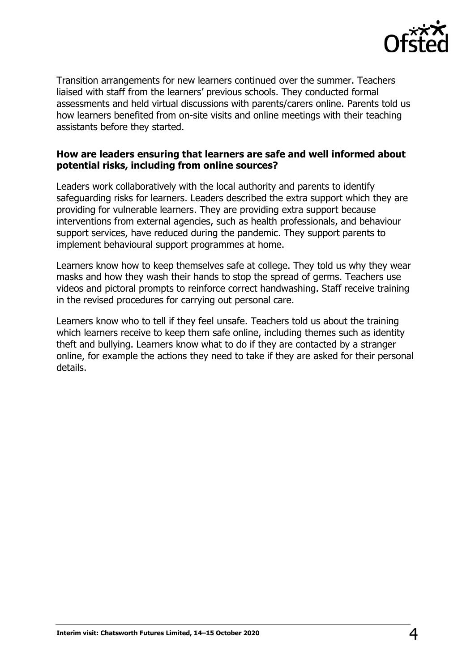

Transition arrangements for new learners continued over the summer. Teachers liaised with staff from the learners' previous schools. They conducted formal assessments and held virtual discussions with parents/carers online. Parents told us how learners benefited from on-site visits and online meetings with their teaching assistants before they started.

#### **How are leaders ensuring that learners are safe and well informed about potential risks, including from online sources?**

Leaders work collaboratively with the local authority and parents to identify safeguarding risks for learners. Leaders described the extra support which they are providing for vulnerable learners. They are providing extra support because interventions from external agencies, such as health professionals, and behaviour support services, have reduced during the pandemic. They support parents to implement behavioural support programmes at home.

Learners know how to keep themselves safe at college. They told us why they wear masks and how they wash their hands to stop the spread of germs. Teachers use videos and pictoral prompts to reinforce correct handwashing. Staff receive training in the revised procedures for carrying out personal care.

Learners know who to tell if they feel unsafe. Teachers told us about the training which learners receive to keep them safe online, including themes such as identity theft and bullying. Learners know what to do if they are contacted by a stranger online, for example the actions they need to take if they are asked for their personal details.